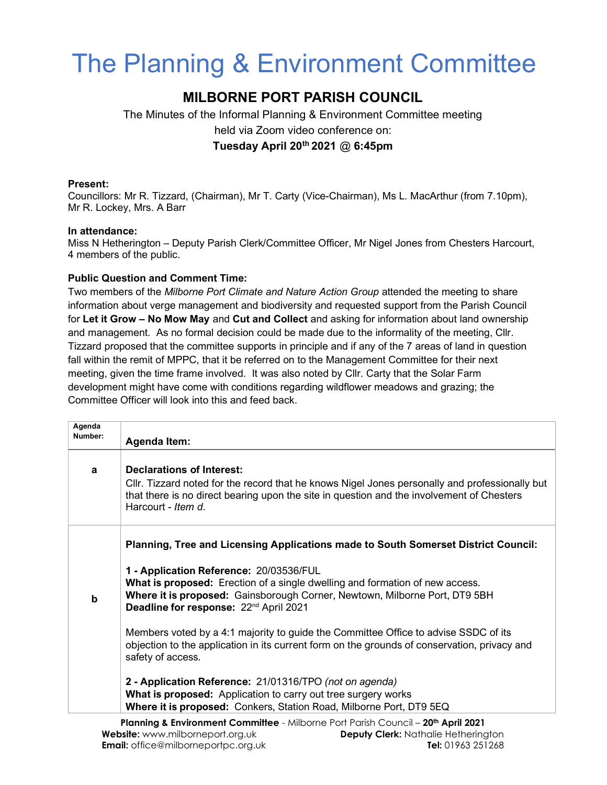# The Planning & Environment Committee

## MILBORNE PORT PARISH COUNCIL

The Minutes of the Informal Planning & Environment Committee meeting held via Zoom video conference on: Tuesday April 20<sup>th</sup> 2021  $@$  6:45pm

#### Present:

Councillors: Mr R. Tizzard, (Chairman), Mr T. Carty (Vice-Chairman), Ms L. MacArthur (from 7.10pm), Mr R. Lockey, Mrs. A Barr

#### In attendance:

Miss N Hetherington – Deputy Parish Clerk/Committee Officer, Mr Nigel Jones from Chesters Harcourt, 4 members of the public.

### Public Question and Comment Time:

Two members of the Milborne Port Climate and Nature Action Group attended the meeting to share information about verge management and biodiversity and requested support from the Parish Council for Let it Grow – No Mow May and Cut and Collect and asking for information about land ownership and management. As no formal decision could be made due to the informality of the meeting, Cllr. Tizzard proposed that the committee supports in principle and if any of the 7 areas of land in question fall within the remit of MPPC, that it be referred on to the Management Committee for their next meeting, given the time frame involved. It was also noted by Cllr. Carty that the Solar Farm development might have come with conditions regarding wildflower meadows and grazing; the Committee Officer will look into this and feed back.

| Agenda  |                                                                                                                                                                                                                                                                    |
|---------|--------------------------------------------------------------------------------------------------------------------------------------------------------------------------------------------------------------------------------------------------------------------|
| Number: | <b>Agenda Item:</b>                                                                                                                                                                                                                                                |
| a       | <b>Declarations of Interest:</b><br>CIIr. Tizzard noted for the record that he knows Nigel Jones personally and professionally but<br>that there is no direct bearing upon the site in question and the involvement of Chesters<br>Harcourt - Item d.              |
|         | Planning, Tree and Licensing Applications made to South Somerset District Council:                                                                                                                                                                                 |
| b       | 1 - Application Reference: 20/03536/FUL<br><b>What is proposed:</b> Erection of a single dwelling and formation of new access.<br>Where it is proposed: Gainsborough Corner, Newtown, Milborne Port, DT9 5BH<br>Deadline for response: 22 <sup>nd</sup> April 2021 |
|         | Members voted by a 4:1 majority to guide the Committee Office to advise SSDC of its<br>objection to the application in its current form on the grounds of conservation, privacy and<br>safety of access.                                                           |
|         | 2 - Application Reference: 21/01316/TPO (not on agenda)<br>What is proposed: Application to carry out tree surgery works<br>Where it is proposed: Conkers, Station Road, Milborne Port, DT9 5EQ                                                                    |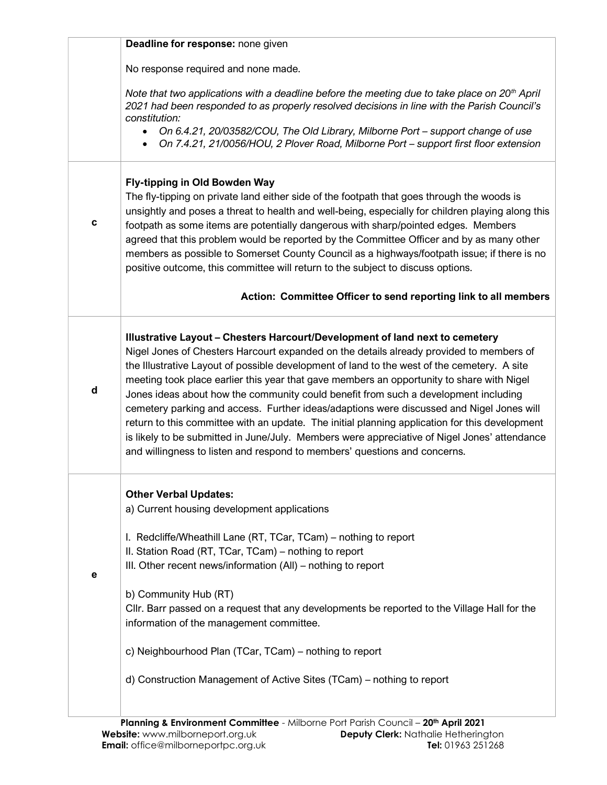|   | Deadline for response: none given                                                                                                                                                                                                                                                                                                                                                                                                                                                                                                                                                                                                                                                                                                                                                                                                     |
|---|---------------------------------------------------------------------------------------------------------------------------------------------------------------------------------------------------------------------------------------------------------------------------------------------------------------------------------------------------------------------------------------------------------------------------------------------------------------------------------------------------------------------------------------------------------------------------------------------------------------------------------------------------------------------------------------------------------------------------------------------------------------------------------------------------------------------------------------|
|   | No response required and none made.                                                                                                                                                                                                                                                                                                                                                                                                                                                                                                                                                                                                                                                                                                                                                                                                   |
|   | Note that two applications with a deadline before the meeting due to take place on $20th$ April<br>2021 had been responded to as properly resolved decisions in line with the Parish Council's<br>constitution:<br>On 6.4.21, 20/03582/COU, The Old Library, Milborne Port - support change of use<br>$\bullet$                                                                                                                                                                                                                                                                                                                                                                                                                                                                                                                       |
|   | On 7.4.21, 21/0056/HOU, 2 Plover Road, Milborne Port - support first floor extension                                                                                                                                                                                                                                                                                                                                                                                                                                                                                                                                                                                                                                                                                                                                                  |
| c | Fly-tipping in Old Bowden Way<br>The fly-tipping on private land either side of the footpath that goes through the woods is<br>unsightly and poses a threat to health and well-being, especially for children playing along this<br>footpath as some items are potentially dangerous with sharp/pointed edges. Members<br>agreed that this problem would be reported by the Committee Officer and by as many other<br>members as possible to Somerset County Council as a highways/footpath issue; if there is no<br>positive outcome, this committee will return to the subject to discuss options.                                                                                                                                                                                                                                  |
|   | Action: Committee Officer to send reporting link to all members                                                                                                                                                                                                                                                                                                                                                                                                                                                                                                                                                                                                                                                                                                                                                                       |
| d | Illustrative Layout - Chesters Harcourt/Development of land next to cemetery<br>Nigel Jones of Chesters Harcourt expanded on the details already provided to members of<br>the Illustrative Layout of possible development of land to the west of the cemetery. A site<br>meeting took place earlier this year that gave members an opportunity to share with Nigel<br>Jones ideas about how the community could benefit from such a development including<br>cemetery parking and access. Further ideas/adaptions were discussed and Nigel Jones will<br>return to this committee with an update. The initial planning application for this development<br>is likely to be submitted in June/July. Members were appreciative of Nigel Jones' attendance<br>and willingness to listen and respond to members' questions and concerns. |
| е | <b>Other Verbal Updates:</b><br>a) Current housing development applications<br>I. Redcliffe/Wheathill Lane (RT, TCar, TCam) - nothing to report<br>II. Station Road (RT, TCar, TCam) - nothing to report<br>III. Other recent news/information (All) - nothing to report<br>b) Community Hub (RT)<br>Cllr. Barr passed on a request that any developments be reported to the Village Hall for the<br>information of the management committee.<br>c) Neighbourhood Plan (TCar, TCam) – nothing to report<br>d) Construction Management of Active Sites (TCam) - nothing to report                                                                                                                                                                                                                                                      |
|   |                                                                                                                                                                                                                                                                                                                                                                                                                                                                                                                                                                                                                                                                                                                                                                                                                                       |